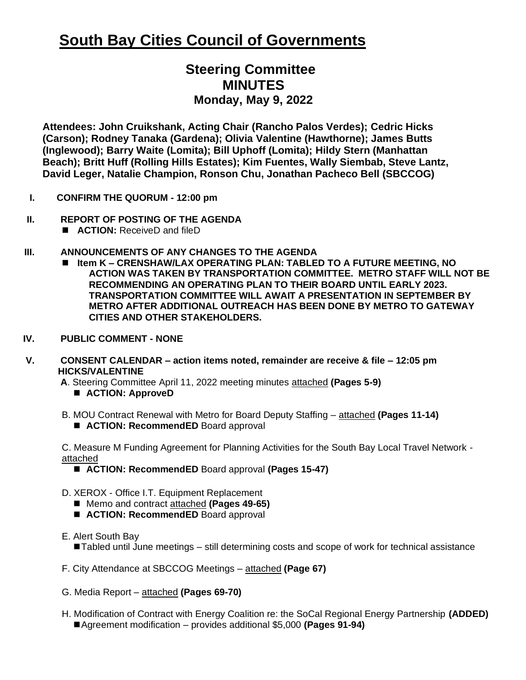# **South Bay Cities Council of Governments**

# **Steering Committee MINUTES Monday, May 9, 2022**

**Attendees: John Cruikshank, Acting Chair (Rancho Palos Verdes); Cedric Hicks (Carson); Rodney Tanaka (Gardena); Olivia Valentine (Hawthorne); James Butts (Inglewood); Barry Waite (Lomita); Bill Uphoff (Lomita); Hildy Stern (Manhattan Beach); Britt Huff (Rolling Hills Estates); Kim Fuentes, Wally Siembab, Steve Lantz, David Leger, Natalie Champion, Ronson Chu, Jonathan Pacheco Bell (SBCCOG)**

- **I. CONFIRM THE QUORUM - 12:00 pm**
- **II. REPORT OF POSTING OF THE AGENDA** 
	- **ACTION:** ReceiveD and fileD

#### **III. ANNOUNCEMENTS OF ANY CHANGES TO THE AGENDA**

- ◼ **Item K – CRENSHAW/LAX OPERATING PLAN: TABLED TO A FUTURE MEETING, NO ACTION WAS TAKEN BY TRANSPORTATION COMMITTEE. METRO STAFF WILL NOT BE RECOMMENDING AN OPERATING PLAN TO THEIR BOARD UNTIL EARLY 2023. TRANSPORTATION COMMITTEE WILL AWAIT A PRESENTATION IN SEPTEMBER BY METRO AFTER ADDITIONAL OUTREACH HAS BEEN DONE BY METRO TO GATEWAY CITIES AND OTHER STAKEHOLDERS.**
- **IV. PUBLIC COMMENT - NONE**
- **V. CONSENT CALENDAR – action items noted, remainder are receive & file – 12:05 pm HICKS/VALENTINE**

**A**. Steering Committee April 11, 2022 meeting minutes attached **(Pages 5-9)**

- **ACTION: ApproveD**
- B. MOU Contract Renewal with Metro for Board Deputy Staffing attached **(Pages 11-14)**
	- **ACTION: RecommendED** Board approval

C. Measure M Funding Agreement for Planning Activities for the South Bay Local Travel Network attached

- **ACTION: RecommendED** Board approval (Pages 15-47)
- D. XEROX Office I.T. Equipment Replacement
	- Memo and contract attached **(Pages 49-65)**
	- **ACTION: RecommendED** Board approval
- E. Alert South Bay

■Tabled until June meetings – still determining costs and scope of work for technical assistance

- F. City Attendance at SBCCOG Meetings attached **(Page 67)**
- G. Media Report attached **(Pages 69-70)**
- H. Modification of Contract with Energy Coalition re: the SoCal Regional Energy Partnership **(ADDED)** ■Agreement modification – provides additional \$5,000 **(Pages 91-94)**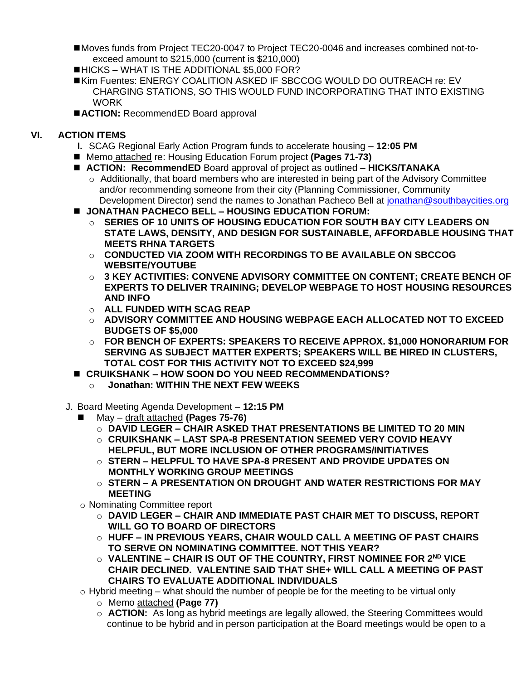- ■Moves funds from Project TEC20-0047 to Project TEC20-0046 and increases combined not-toexceed amount to \$215,000 (current is \$210,000)
- ■HICKS WHAT IS THE ADDITIONAL \$5,000 FOR?
- ■Kim Fuentes: ENERGY COALITION ASKED IF SBCCOG WOULD DO OUTREACH re: EV CHARGING STATIONS, SO THIS WOULD FUND INCORPORATING THAT INTO EXISTING **WORK**
- ■**ACTION: RecommendED Board approval**

## **VI. ACTION ITEMS**

- **I.** SCAG Regional Early Action Program funds to accelerate housing **12:05 PM**
- Memo attached re: Housing Education Forum project **(Pages 71-73)**
- **ACTION: RecommendED** Board approval of project as outlined **HICKS/TANAKA** 
	- $\circ$  Additionally, that board members who are interested in being part of the Advisory Committee and/or recommending someone from their city (Planning Commissioner, Community Development Director) send the names to Jonathan Pacheco Bell at [jonathan@southbaycities.org](mailto:jonathan@southbaycities.org)
- ◼ **JONATHAN PACHECO BELL – HOUSING EDUCATION FORUM:**
	- o **SERIES OF 10 UNITS OF HOUSING EDUCATION FOR SOUTH BAY CITY LEADERS ON STATE LAWS, DENSITY, AND DESIGN FOR SUSTAINABLE, AFFORDABLE HOUSING THAT MEETS RHNA TARGETS**
	- o **CONDUCTED VIA ZOOM WITH RECORDINGS TO BE AVAILABLE ON SBCCOG WEBSITE/YOUTUBE**
	- $\circ$   $\,$  3 KEY ACTIVITIES: CONVENE ADVISORY COMMITTEE ON CONTENT: CREATE BENCH OF **EXPERTS TO DELIVER TRAINING; DEVELOP WEBPAGE TO HOST HOUSING RESOURCES AND INFO**
	- o **ALL FUNDED WITH SCAG REAP**
	- o **ADVISORY COMMITTEE AND HOUSING WEBPAGE EACH ALLOCATED NOT TO EXCEED BUDGETS OF \$5,000**
	- o **FOR BENCH OF EXPERTS: SPEAKERS TO RECEIVE APPROX. \$1,000 HONORARIUM FOR SERVING AS SUBJECT MATTER EXPERTS; SPEAKERS WILL BE HIRED IN CLUSTERS, TOTAL COST FOR THIS ACTIVITY NOT TO EXCEED \$24,999**
- ◼ **CRUIKSHANK – HOW SOON DO YOU NEED RECOMMENDATIONS?** 
	- o **Jonathan: WITHIN THE NEXT FEW WEEKS**
- J. Board Meeting Agenda Development **12:15 PM** 
	- ◼ May draft attached **(Pages 75-76)**
		- o **DAVID LEGER – CHAIR ASKED THAT PRESENTATIONS BE LIMITED TO 20 MIN**
		- o **CRUIKSHANK – LAST SPA-8 PRESENTATION SEEMED VERY COVID HEAVY HELPFUL, BUT MORE INCLUSION OF OTHER PROGRAMS/INITIATIVES**
		- o **STERN – HELPFUL TO HAVE SPA-8 PRESENT AND PROVIDE UPDATES ON MONTHLY WORKING GROUP MEETINGS**
		- o **STERN – A PRESENTATION ON DROUGHT AND WATER RESTRICTIONS FOR MAY MEETING**
	- o Nominating Committee report
		- o **DAVID LEGER – CHAIR AND IMMEDIATE PAST CHAIR MET TO DISCUSS, REPORT WILL GO TO BOARD OF DIRECTORS**
		- o **HUFF – IN PREVIOUS YEARS, CHAIR WOULD CALL A MEETING OF PAST CHAIRS TO SERVE ON NOMINATING COMMITTEE. NOT THIS YEAR?**
		- o **VALENTINE – CHAIR IS OUT OF THE COUNTRY, FIRST NOMINEE FOR 2ND VICE CHAIR DECLINED. VALENTINE SAID THAT SHE+ WILL CALL A MEETING OF PAST CHAIRS TO EVALUATE ADDITIONAL INDIVIDUALS**
	- $\circ$  Hybrid meeting what should the number of people be for the meeting to be virtual only
		- o Memo attached **(Page 77)**
		- o **ACTION:** As long as hybrid meetings are legally allowed, the Steering Committees would continue to be hybrid and in person participation at the Board meetings would be open to a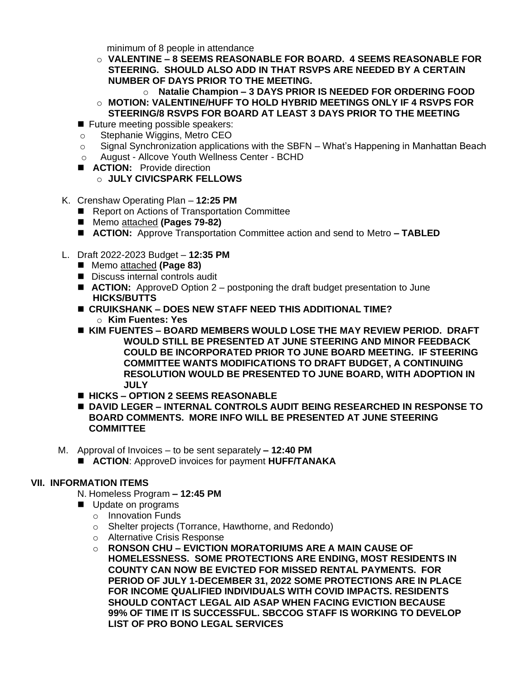minimum of 8 people in attendance

o **VALENTINE – 8 SEEMS REASONABLE FOR BOARD. 4 SEEMS REASONABLE FOR STEERING. SHOULD ALSO ADD IN THAT RSVPS ARE NEEDED BY A CERTAIN NUMBER OF DAYS PRIOR TO THE MEETING.** 

o **Natalie Champion – 3 DAYS PRIOR IS NEEDED FOR ORDERING FOOD** o **MOTION: VALENTINE/HUFF TO HOLD HYBRID MEETINGS ONLY IF 4 RSVPS FOR** 

- **STEERING/8 RSVPS FOR BOARD AT LEAST 3 DAYS PRIOR TO THE MEETING**
- Future meeting possible speakers:
- o Stephanie Wiggins, Metro CEO
- $\circ$  Signal Synchronization applications with the SBFN What's Happening in Manhattan Beach
- o August Allcove Youth Wellness Center BCHD
- **ACTION:** Provide direction

o **JULY CIVICSPARK FELLOWS**

- K. Crenshaw Operating Plan **12:25 PM** 
	- Report on Actions of Transportation Committee
	- Memo attached **(Pages 79-82)**
	- **ACTION:** Approve Transportation Committee action and send to Metro TABLED
- L. Draft 2022-2023 Budget **12:35 PM** 
	- Memo attached (Page 83)
	- Discuss internal controls audit
	- **ACTION:** ApproveD Option 2 postponing the draft budget presentation to June **HICKS/BUTTS**
	- ◼ **CRUIKSHANK – DOES NEW STAFF NEED THIS ADDITIONAL TIME?**  o **Kim Fuentes: Yes**
	- ◼ **KIM FUENTES – BOARD MEMBERS WOULD LOSE THE MAY REVIEW PERIOD. DRAFT WOULD STILL BE PRESENTED AT JUNE STEERING AND MINOR FEEDBACK COULD BE INCORPORATED PRIOR TO JUNE BOARD MEETING. IF STEERING COMMITTEE WANTS MODIFICATIONS TO DRAFT BUDGET, A CONTINUING RESOLUTION WOULD BE PRESENTED TO JUNE BOARD, WITH ADOPTION IN JULY**
	- ◼ **HICKS – OPTION 2 SEEMS REASONABLE**
	- ◼ **DAVID LEGER – INTERNAL CONTROLS AUDIT BEING RESEARCHED IN RESPONSE TO BOARD COMMENTS. MORE INFO WILL BE PRESENTED AT JUNE STEERING COMMITTEE**
- M. Approval of Invoices to be sent separately **– 12:40 PM** 
	- ◼ **ACTION**: ApproveD invoices for payment **HUFF/TANAKA**

### **VII. INFORMATION ITEMS**

- N. Homeless Program **– 12:45 PM**
- Update on programs
	- o Innovation Funds
	- o Shelter projects (Torrance, Hawthorne, and Redondo)
	- o Alternative Crisis Response
	- o **RONSON CHU – EVICTION MORATORIUMS ARE A MAIN CAUSE OF HOMELESSNESS. SOME PROTECTIONS ARE ENDING, MOST RESIDENTS IN COUNTY CAN NOW BE EVICTED FOR MISSED RENTAL PAYMENTS. FOR PERIOD OF JULY 1-DECEMBER 31, 2022 SOME PROTECTIONS ARE IN PLACE FOR INCOME QUALIFIED INDIVIDUALS WITH COVID IMPACTS. RESIDENTS SHOULD CONTACT LEGAL AID ASAP WHEN FACING EVICTION BECAUSE 99% OF TIME IT IS SUCCESSFUL. SBCCOG STAFF IS WORKING TO DEVELOP LIST OF PRO BONO LEGAL SERVICES**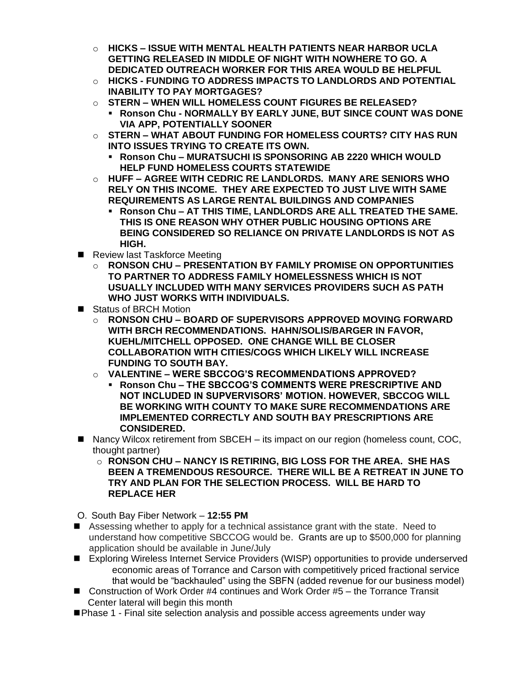- o **HICKS – ISSUE WITH MENTAL HEALTH PATIENTS NEAR HARBOR UCLA GETTING RELEASED IN MIDDLE OF NIGHT WITH NOWHERE TO GO. A DEDICATED OUTREACH WORKER FOR THIS AREA WOULD BE HELPFUL**
- o **HICKS - FUNDING TO ADDRESS IMPACTS TO LANDLORDS AND POTENTIAL INABILITY TO PAY MORTGAGES?**
- o **STERN – WHEN WILL HOMELESS COUNT FIGURES BE RELEASED?**
	- **Ronson Chu - NORMALLY BY EARLY JUNE, BUT SINCE COUNT WAS DONE VIA APP, POTENTIALLY SOONER**
- o **STERN – WHAT ABOUT FUNDING FOR HOMELESS COURTS? CITY HAS RUN INTO ISSUES TRYING TO CREATE ITS OWN.** 
	- **Ronson Chu – MURATSUCHI IS SPONSORING AB 2220 WHICH WOULD HELP FUND HOMELESS COURTS STATEWIDE**
- o **HUFF – AGREE WITH CEDRIC RE LANDLORDS. MANY ARE SENIORS WHO RELY ON THIS INCOME. THEY ARE EXPECTED TO JUST LIVE WITH SAME REQUIREMENTS AS LARGE RENTAL BUILDINGS AND COMPANIES**
	- **Ronson Chu – AT THIS TIME, LANDLORDS ARE ALL TREATED THE SAME. THIS IS ONE REASON WHY OTHER PUBLIC HOUSING OPTIONS ARE BEING CONSIDERED SO RELIANCE ON PRIVATE LANDLORDS IS NOT AS HIGH.**
- Review last Taskforce Meeting
	- o **RONSON CHU – PRESENTATION BY FAMILY PROMISE ON OPPORTUNITIES TO PARTNER TO ADDRESS FAMILY HOMELESSNESS WHICH IS NOT USUALLY INCLUDED WITH MANY SERVICES PROVIDERS SUCH AS PATH WHO JUST WORKS WITH INDIVIDUALS.**
- Status of BRCH Motion
	- o **RONSON CHU – BOARD OF SUPERVISORS APPROVED MOVING FORWARD WITH BRCH RECOMMENDATIONS. HAHN/SOLIS/BARGER IN FAVOR, KUEHL/MITCHELL OPPOSED. ONE CHANGE WILL BE CLOSER COLLABORATION WITH CITIES/COGS WHICH LIKELY WILL INCREASE FUNDING TO SOUTH BAY.**
	- o **VALENTINE – WERE SBCCOG'S RECOMMENDATIONS APPROVED?** 
		- **Ronson Chu – THE SBCCOG'S COMMENTS WERE PRESCRIPTIVE AND NOT INCLUDED IN SUPVERVISORS' MOTION. HOWEVER, SBCCOG WILL BE WORKING WITH COUNTY TO MAKE SURE RECOMMENDATIONS ARE IMPLEMENTED CORRECTLY AND SOUTH BAY PRESCRIPTIONS ARE CONSIDERED.**
- Nancy Wilcox retirement from SBCEH its impact on our region (homeless count, COC, thought partner)
	- o **RONSON CHU – NANCY IS RETIRING, BIG LOSS FOR THE AREA. SHE HAS BEEN A TREMENDOUS RESOURCE. THERE WILL BE A RETREAT IN JUNE TO TRY AND PLAN FOR THE SELECTION PROCESS. WILL BE HARD TO REPLACE HER**
- O. South Bay Fiber Network **12:55 PM**
- Assessing whether to apply for a technical assistance grant with the state. Need to understand how competitive SBCCOG would be. Grants are up to \$500,000 for planning application should be available in June/July
- Exploring Wireless Internet Service Providers (WISP) opportunities to provide underserved economic areas of Torrance and Carson with competitively priced fractional service that would be "backhauled" using the SBFN (added revenue for our business model)
- Construction of Work Order #4 continues and Work Order #5 the Torrance Transit Center lateral will begin this month
- Phase 1 Final site selection analysis and possible access agreements under way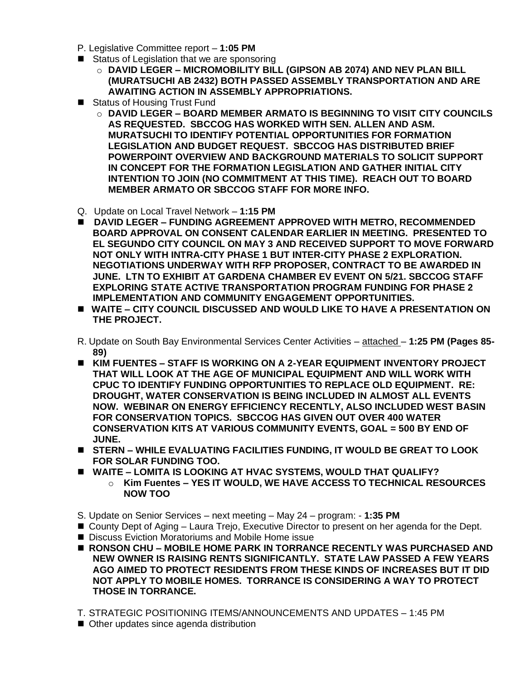- P. Legislative Committee report **1:05 PM**
- Status of Legislation that we are sponsoring
	- o **DAVID LEGER – MICROMOBILITY BILL (GIPSON AB 2074) AND NEV PLAN BILL (MURATSUCHI AB 2432) BOTH PASSED ASSEMBLY TRANSPORTATION AND ARE AWAITING ACTION IN ASSEMBLY APPROPRIATIONS.**
- Status of Housing Trust Fund
	- o **DAVID LEGER – BOARD MEMBER ARMATO IS BEGINNING TO VISIT CITY COUNCILS AS REQUESTED. SBCCOG HAS WORKED WITH SEN. ALLEN AND ASM. MURATSUCHI TO IDENTIFY POTENTIAL OPPORTUNITIES FOR FORMATION LEGISLATION AND BUDGET REQUEST. SBCCOG HAS DISTRIBUTED BRIEF POWERPOINT OVERVIEW AND BACKGROUND MATERIALS TO SOLICIT SUPPORT IN CONCEPT FOR THE FORMATION LEGISLATION AND GATHER INITIAL CITY INTENTION TO JOIN (NO COMMITMENT AT THIS TIME). REACH OUT TO BOARD MEMBER ARMATO OR SBCCOG STAFF FOR MORE INFO.**
- Q. Update on Local Travel Network **1:15 PM**
- ◼ **DAVID LEGER – FUNDING AGREEMENT APPROVED WITH METRO, RECOMMENDED BOARD APPROVAL ON CONSENT CALENDAR EARLIER IN MEETING. PRESENTED TO EL SEGUNDO CITY COUNCIL ON MAY 3 AND RECEIVED SUPPORT TO MOVE FORWARD NOT ONLY WITH INTRA-CITY PHASE 1 BUT INTER-CITY PHASE 2 EXPLORATION. NEGOTIATIONS UNDERWAY WITH RFP PROPOSER, CONTRACT TO BE AWARDED IN JUNE. LTN TO EXHIBIT AT GARDENA CHAMBER EV EVENT ON 5/21. SBCCOG STAFF EXPLORING STATE ACTIVE TRANSPORTATION PROGRAM FUNDING FOR PHASE 2 IMPLEMENTATION AND COMMUNITY ENGAGEMENT OPPORTUNITIES.**
- ◼ **WAITE – CITY COUNCIL DISCUSSED AND WOULD LIKE TO HAVE A PRESENTATION ON THE PROJECT.**
- R. Update on South Bay Environmental Services Center Activities attached **1:25 PM (Pages 85- 89)**
- ◼ **KIM FUENTES – STAFF IS WORKING ON A 2-YEAR EQUIPMENT INVENTORY PROJECT THAT WILL LOOK AT THE AGE OF MUNICIPAL EQUIPMENT AND WILL WORK WITH CPUC TO IDENTIFY FUNDING OPPORTUNITIES TO REPLACE OLD EQUIPMENT. RE: DROUGHT, WATER CONSERVATION IS BEING INCLUDED IN ALMOST ALL EVENTS NOW. WEBINAR ON ENERGY EFFICIENCY RECENTLY, ALSO INCLUDED WEST BASIN FOR CONSERVATION TOPICS. SBCCOG HAS GIVEN OUT OVER 400 WATER CONSERVATION KITS AT VARIOUS COMMUNITY EVENTS, GOAL = 500 BY END OF JUNE.**
- ◼ **STERN – WHILE EVALUATING FACILITIES FUNDING, IT WOULD BE GREAT TO LOOK FOR SOLAR FUNDING TOO.**
- ◼ **WAITE – LOMITA IS LOOKING AT HVAC SYSTEMS, WOULD THAT QUALIFY?**
	- o **Kim Fuentes – YES IT WOULD, WE HAVE ACCESS TO TECHNICAL RESOURCES NOW TOO**
- S. Update on Senior Services next meeting May 24 program: **1:35 PM**
- County Dept of Aging Laura Trejo, Executive Director to present on her agenda for the Dept.
- Discuss Eviction Moratoriums and Mobile Home issue
- RONSON CHU MOBILE HOME PARK IN TORRANCE RECENTLY WAS PURCHASED AND **NEW OWNER IS RAISING RENTS SIGNIFICANTLY. STATE LAW PASSED A FEW YEARS AGO AIMED TO PROTECT RESIDENTS FROM THESE KINDS OF INCREASES BUT IT DID NOT APPLY TO MOBILE HOMES. TORRANCE IS CONSIDERING A WAY TO PROTECT THOSE IN TORRANCE.**
- T. STRATEGIC POSITIONING ITEMS/ANNOUNCEMENTS AND UPDATES 1:45 PM
- Other updates since agenda distribution